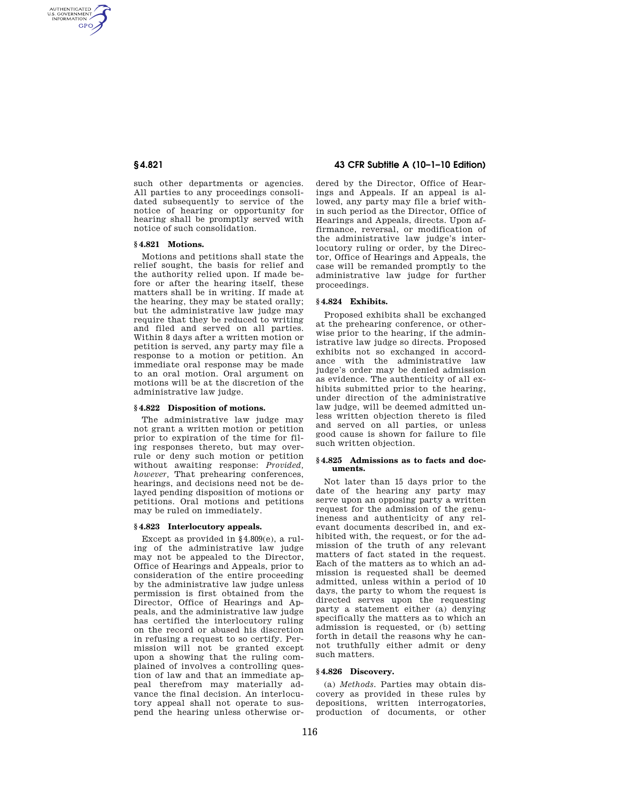AUTHENTICATED<br>U.S. GOVERNMENT<br>INFORMATION **GPO** 

> such other departments or agencies. All parties to any proceedings consolidated subsequently to service of the notice of hearing or opportunity for hearing shall be promptly served with notice of such consolidation.

## **§ 4.821 Motions.**

Motions and petitions shall state the relief sought, the basis for relief and the authority relied upon. If made before or after the hearing itself, these matters shall be in writing. If made at the hearing, they may be stated orally; but the administrative law judge may require that they be reduced to writing and filed and served on all parties. Within 8 days after a written motion or petition is served, any party may file a response to a motion or petition. An immediate oral response may be made to an oral motion. Oral argument on motions will be at the discretion of the administrative law judge.

## **§ 4.822 Disposition of motions.**

The administrative law judge may not grant a written motion or petition prior to expiration of the time for filing responses thereto, but may overrule or deny such motion or petition without awaiting response: *Provided, however,* That prehearing conferences, hearings, and decisions need not be delayed pending disposition of motions or petitions. Oral motions and petitions may be ruled on immediately.

#### **§ 4.823 Interlocutory appeals.**

Except as provided in §4.809(e), a ruling of the administrative law judge may not be appealed to the Director, Office of Hearings and Appeals, prior to consideration of the entire proceeding by the administrative law judge unless permission is first obtained from the Director, Office of Hearings and Appeals, and the administrative law judge has certified the interlocutory ruling on the record or abused his discretion in refusing a request to so certify. Permission will not be granted except upon a showing that the ruling complained of involves a controlling question of law and that an immediate appeal therefrom may materially advance the final decision. An interlocutory appeal shall not operate to suspend the hearing unless otherwise or-

## **§ 4.821 43 CFR Subtitle A (10–1–10 Edition)**

dered by the Director, Office of Hearings and Appeals. If an appeal is allowed, any party may file a brief within such period as the Director, Office of Hearings and Appeals, directs. Upon affirmance, reversal, or modification of the administrative law judge's interlocutory ruling or order, by the Director, Office of Hearings and Appeals, the case will be remanded promptly to the administrative law judge for further proceedings.

#### **§ 4.824 Exhibits.**

Proposed exhibits shall be exchanged at the prehearing conference, or otherwise prior to the hearing, if the administrative law judge so directs. Proposed exhibits not so exchanged in accordance with the administrative law judge's order may be denied admission as evidence. The authenticity of all exhibits submitted prior to the hearing, under direction of the administrative law judge, will be deemed admitted unless written objection thereto is filed and served on all parties, or unless good cause is shown for failure to file such written objection.

#### **§ 4.825 Admissions as to facts and documents.**

Not later than 15 days prior to the date of the hearing any party may serve upon an opposing party a written request for the admission of the genuineness and authenticity of any relevant documents described in, and exhibited with, the request, or for the admission of the truth of any relevant matters of fact stated in the request. Each of the matters as to which an admission is requested shall be deemed admitted, unless within a period of 10 days, the party to whom the request is directed serves upon the requesting party a statement either (a) denying specifically the matters as to which an admission is requested, or (b) setting forth in detail the reasons why he cannot truthfully either admit or deny such matters.

## **§ 4.826 Discovery.**

(a) *Methods.* Parties may obtain discovery as provided in these rules by depositions, written interrogatories, production of documents, or other